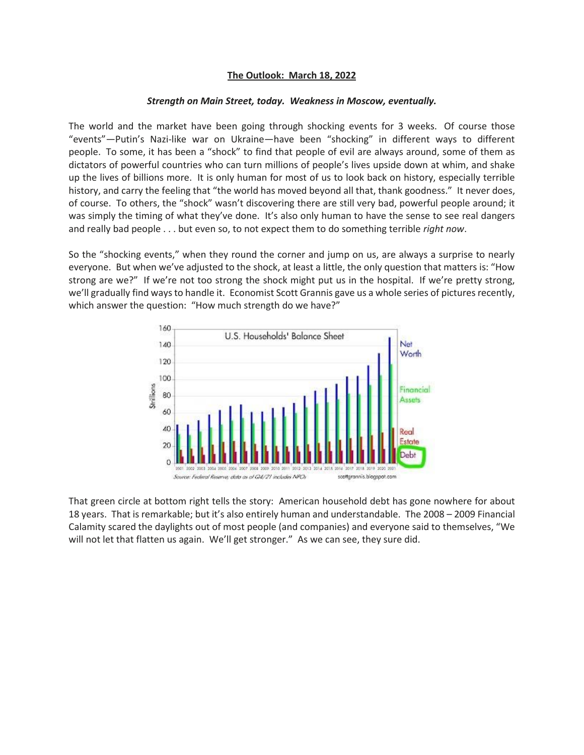## **The Outlook: March 18, 2022**

## *Strength on Main Street, today. Weakness in Moscow, eventually.*

The world and the market have been going through shocking events for 3 weeks. Of course those "events"—Putin's Nazi-like war on Ukraine—have been "shocking" in different ways to different people. To some, it has been a "shock" to find that people of evil are always around, some of them as dictators of powerful countries who can turn millions of people's lives upside down at whim, and shake up the lives of billions more. It is only human for most of us to look back on history, especially terrible history, and carry the feeling that "the world has moved beyond all that, thank goodness." It never does, of course. To others, the "shock" wasn't discovering there are still very bad, powerful people around; it was simply the timing of what they've done. It's also only human to have the sense to see real dangers and really bad people . . . but even so, to not expect them to do something terrible *right now*.

So the "shocking events," when they round the corner and jump on us, are always a surprise to nearly everyone. But when we've adjusted to the shock, at least a little, the only question that matters is: "How strong are we?" If we're not too strong the shock might put us in the hospital. If we're pretty strong, we'll gradually find ways to handle it. Economist Scott Grannis gave us a whole series of pictures recently, which answer the question: "How much strength do we have?"



That green circle at bottom right tells the story: American household debt has gone nowhere for about 18 years. That is remarkable; but it's also entirely human and understandable. The 2008 – 2009 Financial Calamity scared the daylights out of most people (and companies) and everyone said to themselves, "We will not let that flatten us again. We'll get stronger." As we can see, they sure did.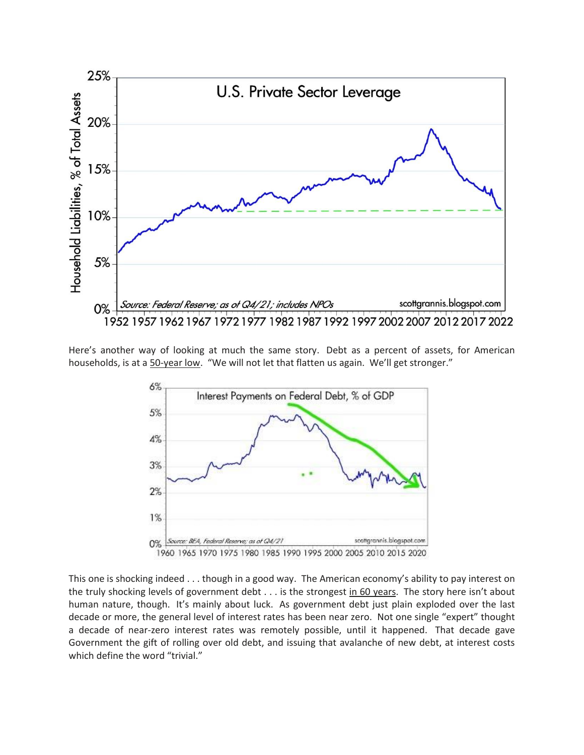

Here's another way of looking at much the same story. Debt as a percent of assets, for American households, is at a 50-year low. "We will not let that flatten us again. We'll get stronger."



This one is shocking indeed . . . though in a good way. The American economy's ability to pay interest on the truly shocking levels of government debt . . . is the strongest in 60 years. The story here isn't about human nature, though. It's mainly about luck. As government debt just plain exploded over the last decade or more, the general level of interest rates has been near zero. Not one single "expert" thought a decade of near-zero interest rates was remotely possible, until it happened. That decade gave Government the gift of rolling over old debt, and issuing that avalanche of new debt, at interest costs which define the word "trivial."